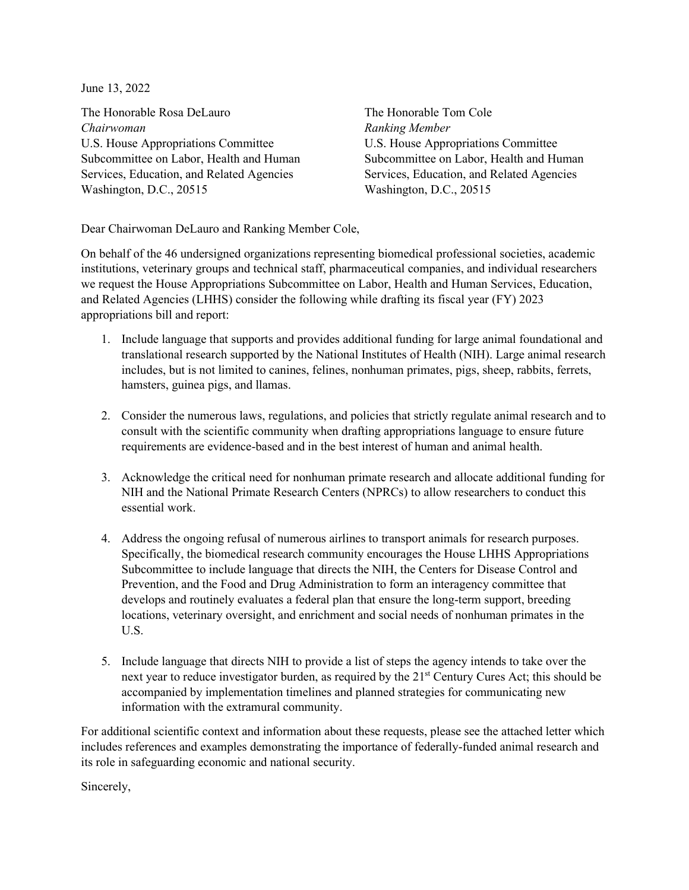June 13, 2022

The Honorable Rosa DeLauro *Chairwoman* U.S. House Appropriations Committee Subcommittee on Labor, Health and Human Services, Education, and Related Agencies Washington, D.C., 20515

The Honorable Tom Cole *Ranking Member* U.S. House Appropriations Committee Subcommittee on Labor, Health and Human Services, Education, and Related Agencies Washington, D.C., 20515

Dear Chairwoman DeLauro and Ranking Member Cole,

On behalf of the 46 undersigned organizations representing biomedical professional societies, academic institutions, veterinary groups and technical staff, pharmaceutical companies, and individual researchers we request the House Appropriations Subcommittee on Labor, Health and Human Services, Education, and Related Agencies (LHHS) consider the following while drafting its fiscal year (FY) 2023 appropriations bill and report:

- 1. Include language that supports and provides additional funding for large animal foundational and translational research supported by the National Institutes of Health (NIH). Large animal research includes, but is not limited to canines, felines, nonhuman primates, pigs, sheep, rabbits, ferrets, hamsters, guinea pigs, and llamas.
- 2. Consider the numerous laws, regulations, and policies that strictly regulate animal research and to consult with the scientific community when drafting appropriations language to ensure future requirements are evidence-based and in the best interest of human and animal health.
- 3. Acknowledge the critical need for nonhuman primate research and allocate additional funding for NIH and the National Primate Research Centers (NPRCs) to allow researchers to conduct this essential work.
- 4. Address the ongoing refusal of numerous airlines to transport animals for research purposes. Specifically, the biomedical research community encourages the House LHHS Appropriations Subcommittee to include language that directs the NIH, the Centers for Disease Control and Prevention, and the Food and Drug Administration to form an interagency committee that develops and routinely evaluates a federal plan that ensure the long-term support, breeding locations, veterinary oversight, and enrichment and social needs of nonhuman primates in the U.S.
- 5. Include language that directs NIH to provide a list of steps the agency intends to take over the next year to reduce investigator burden, as required by the 21<sup>st</sup> Century Cures Act; this should be accompanied by implementation timelines and planned strategies for communicating new information with the extramural community.

For additional scientific context and information about these requests, please see the attached letter which includes references and examples demonstrating the importance of federally-funded animal research and its role in safeguarding economic and national security.

Sincerely,